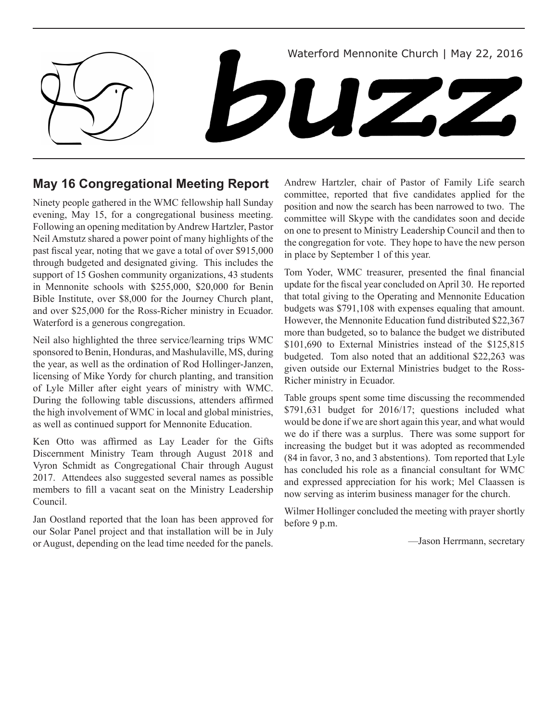

## **May 16 Congregational Meeting Report**

Ninety people gathered in the WMC fellowship hall Sunday evening, May 15, for a congregational business meeting. Following an opening meditation by Andrew Hartzler, Pastor Neil Amstutz shared a power point of many highlights of the past fiscal year, noting that we gave a total of over \$915,000 through budgeted and designated giving. This includes the support of 15 Goshen community organizations, 43 students in Mennonite schools with \$255,000, \$20,000 for Benin Bible Institute, over \$8,000 for the Journey Church plant, and over \$25,000 for the Ross-Richer ministry in Ecuador. Waterford is a generous congregation.

Neil also highlighted the three service/learning trips WMC sponsored to Benin, Honduras, and Mashulaville, MS, during the year, as well as the ordination of Rod Hollinger-Janzen, licensing of Mike Yordy for church planting, and transition of Lyle Miller after eight years of ministry with WMC. During the following table discussions, attenders affirmed the high involvement of WMC in local and global ministries, as well as continued support for Mennonite Education.

Ken Otto was affirmed as Lay Leader for the Gifts Discernment Ministry Team through August 2018 and Vyron Schmidt as Congregational Chair through August 2017. Attendees also suggested several names as possible members to fill a vacant seat on the Ministry Leadership Council.

Jan Oostland reported that the loan has been approved for our Solar Panel project and that installation will be in July or August, depending on the lead time needed for the panels. Andrew Hartzler, chair of Pastor of Family Life search committee, reported that five candidates applied for the position and now the search has been narrowed to two. The committee will Skype with the candidates soon and decide on one to present to Ministry Leadership Council and then to the congregation for vote. They hope to have the new person in place by September 1 of this year.

Tom Yoder, WMC treasurer, presented the final financial update for the fiscal year concluded on April 30. He reported that total giving to the Operating and Mennonite Education budgets was \$791,108 with expenses equaling that amount. However, the Mennonite Education fund distributed \$22,367 more than budgeted, so to balance the budget we distributed \$101,690 to External Ministries instead of the \$125,815 budgeted. Tom also noted that an additional \$22,263 was given outside our External Ministries budget to the Ross-Richer ministry in Ecuador.

Table groups spent some time discussing the recommended \$791,631 budget for 2016/17; questions included what would be done if we are short again this year, and what would we do if there was a surplus. There was some support for increasing the budget but it was adopted as recommended (84 in favor, 3 no, and 3 abstentions). Tom reported that Lyle has concluded his role as a financial consultant for WMC and expressed appreciation for his work; Mel Claassen is now serving as interim business manager for the church.

Wilmer Hollinger concluded the meeting with prayer shortly before 9 p.m.

—Jason Herrmann, secretary